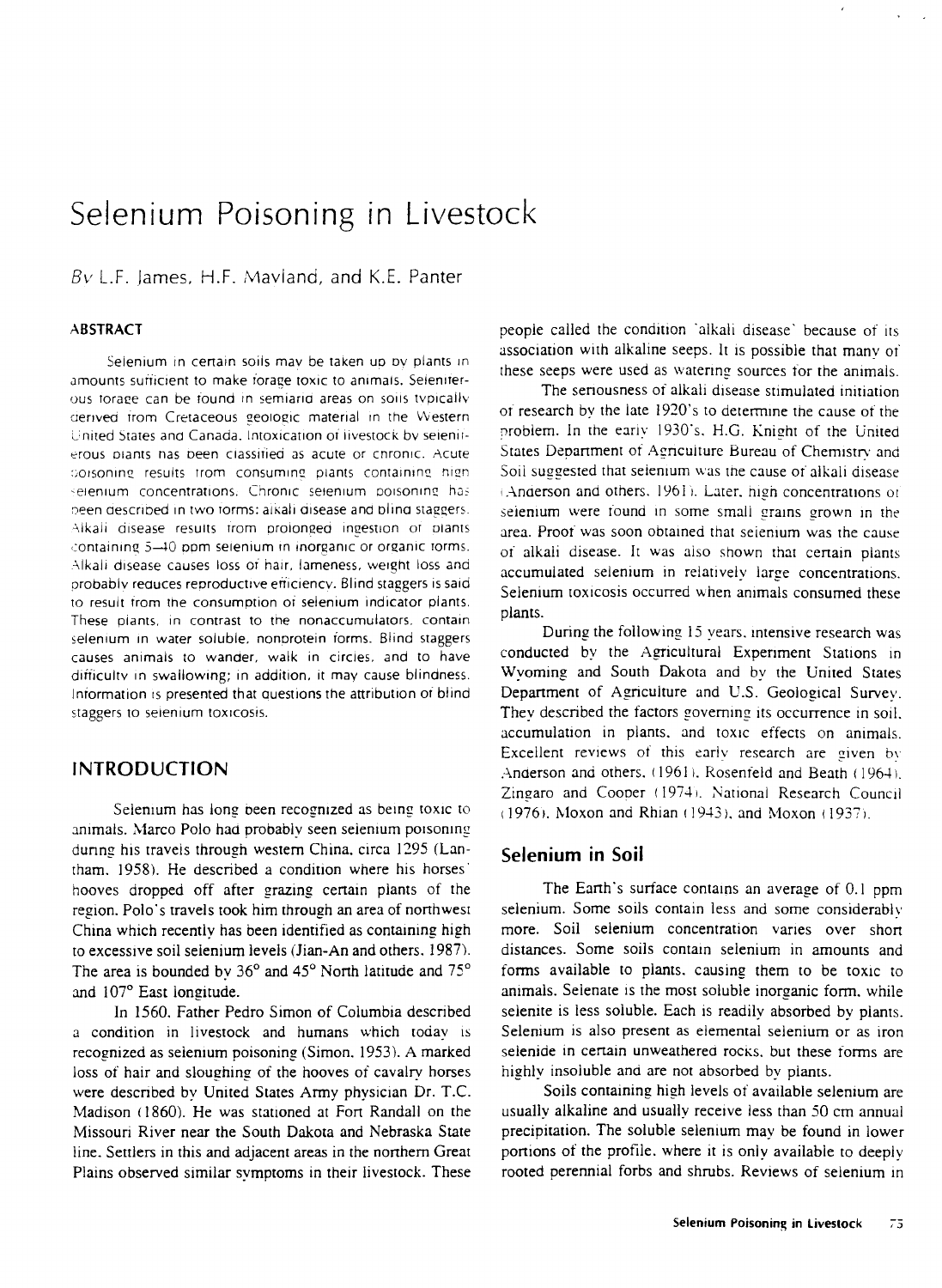# Selenium Poisoning in Livestock

 $Bv$  L.F. James, H.F. Maviand, and K.E. Panter

#### **ABSTRACT**

Selenium in certain soils may be taken up by plants in amounts sufficient to make forage toxic to animals. Seieniterous torage can be found in semiarid areas on soils typically derived from Cretaceous geologic material in the Western United States and Canada. Intoxication of livestock by seleniterous plants has been classified as acute or chronic. Acute coisoning results from consuming plants containing high selenium concentrations. Chronic selenium poisoning has p een aescribed in two torms: alkali disease and blind staggers. Alkali disease results from prolonged ingestion of plants containing 5-40 ppm selenium in inorganic or organic forms. Alkali disease causes loss or hair, lameness, weight loss and probably reduces reproductive efficiency. Blind staggers is said to result trom the consumption or selenium indicator plants. These plants, in contrast to the nonaccumulators, contain selenium in water soluble, nonprotein forms. Blind staggers causes animals to wander, walk in circles, and to have difficulty in swallowing; in addition, it may cause blindness. Information is presented that questions the attribution of blind staggers to selenium toxicosis.

# INTRODUCTION

Selenium has long been recognized as being toxic to animals. Marco Polo had probably seen selenium poisoning during his travels through western China, circa 1295 (Lantham. 1958). He described a condition where his horses' hooves dropped off after grazing certain plants of the region. Polo's travels took him through an area of northwest China which recently has been identified as containing high to excessive soil selenium levels (Jian-An and others. 1987). The area is bounded by 36° and 45° North latitude and 75° and 107° East longitude.

In 1560. Father Pedro Simon of Columbia described a condition in livestock and humans which today is recognized as selenium poisoning (Simon. 1953). A marked loss of hair and sloughing of the hooves of cavalry horses were described by United States Army physician Dr. T.C. Madison (1860). He was stationed at Fort Randall on the Missouri River near the South Dakota and Nebraska State line. Settlers in this and adjacent areas in the northern Great Plains observed similar symptoms in their livestock. These people called the condition 'alkali disease' because of its association with alkaline seeps. It is possible that many of these seeps were used as watering sources for the animals.

The seriousness of alkali disease stimulated initiation of research by the late 1920's to determine the cause of the problem. In the early 1930's. H.G. Knight of the United States Department of Agriculture Bureau of Chemistry and Soil suggested that selenium was the cause of alkali disease (Anderson and others. 1961). Later, high concentrations of selenium were found in some small grains grown in the area. Proof was soon obtained that selenium was the cause of alkali disease. It was also shown that certain plants accumulated selenium in relatively large concentrations. Selenium toxicosis occurred when animals consumed these plants.

During the following 15 years, intensive research was conducted by the Agricultural Experiment Stations in Wyoming and South Dakota and by the United States Department of Agriculture and U.S. Geological Survey. They described the factors governing its occurrence in soil. accumulation in plants. and toxic effects on animals. Excellent reviews of this early research are given by Anderson and others. (1961). Rosenfeld and Beath (1964). Zingaro and Cooper (1974). National Research Council  $(1976)$ . Moxon and Rhian  $(1943)$ , and Moxon  $(1937)$ .

### **Selenium in Soil**

The Earth's surface contains an average of 0.1 ppm selenium. Some soils contain less and some considerably more. Soil selenium concentration varies over short distances. Some soils contain selenium in amounts and forms available to plants, causing them to be toxic to animals. Selenate is the most soluble inorganic form, while selenite is less soluble. Each is readily absorbed by plants. Selenium is also present as elemental selenium or as iron selenide in certain unweathered rocks, but these forms are highly insoluble and are not absorbed by plants.

Soils containing high levels of available selenium are usually alkaline and usually receive less than 50 cm annual precipitation. The soluble selenium may be found in lower portions of the profile. where it is only available to deeply rooted perennial forbs and shrubs. Reviews of selenium in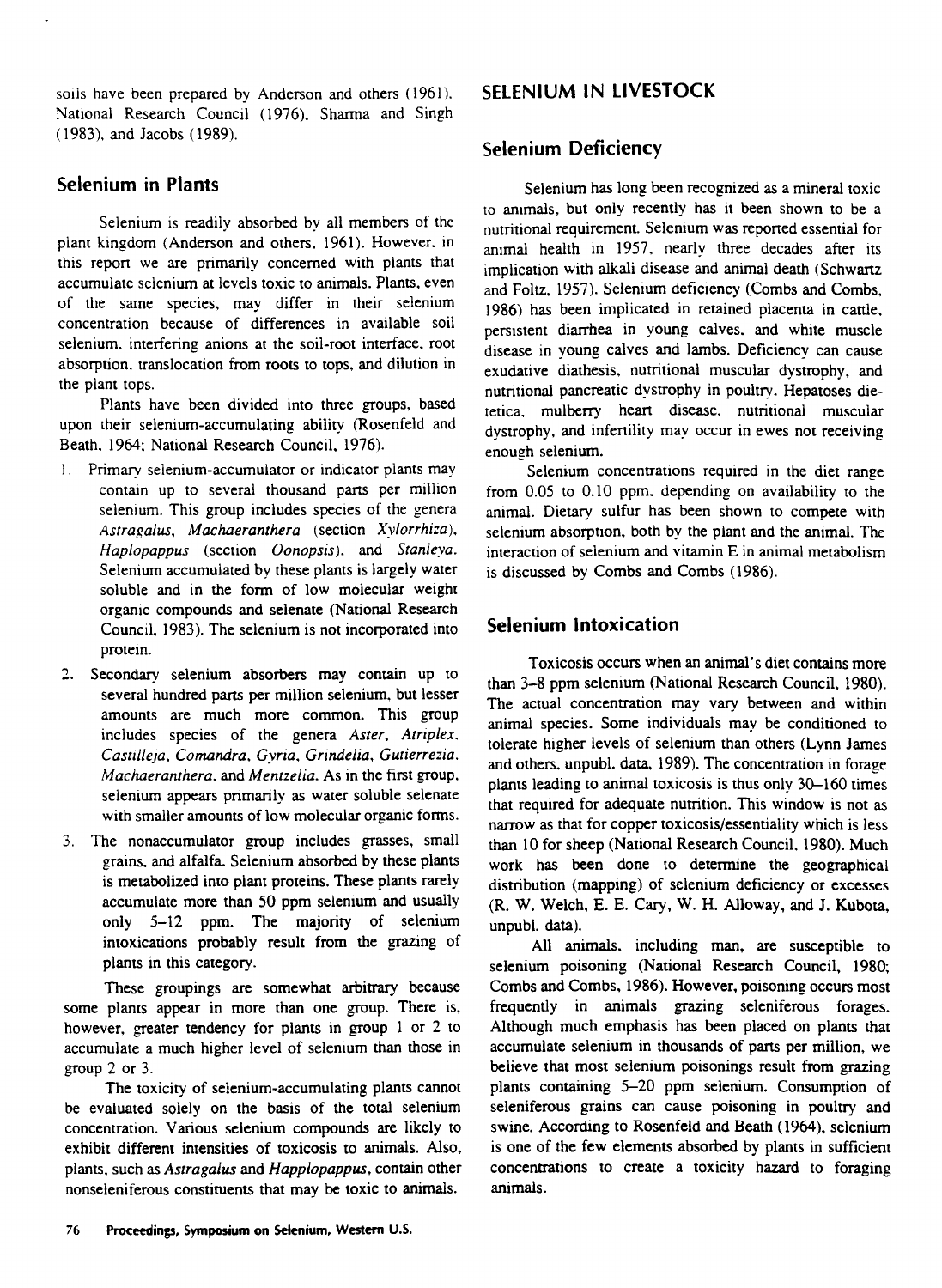soils have been prepared by Anderson and others (1961). National Research Council (1976), Sharma and Singh (1983), and Jacobs (1989).

# **Selenium in Plants**

Selenium is readily absorbed by all members of the plant kingdom (Anderson and others, 1961). However. in this report we are primarily concerned with plants that accumulate selenium at levels toxic to animals. Plants, even of the same species, may differ in their selenium concentration because of differences in available soil selenium. interfering anions at the soil-root interface, root absorption. translocation from roots to tops, and dilution in the plant tops.

Plants have been divided into three groups, based upon their selenium-accumulating ability (Rosenfeld and Beath. 1964; National Research Council, 1976).

- 1. Primary selenium-accumulator or indicator plants may contain up to several thousand parts per million selenium. This group includes species of the genera *Astragalus, Machaeranthera* (section *Xylorrhi:a), Haplopappus* (section *Oonopsis),* and *Stardeya.* Selenium accumulated by these plants is largely water soluble and in the form of low molecular weight organic compounds and selenate (National Research Council, 1983). The selenium is not incorporated into protein.
- 2. Secondary selenium absorbers may contain up to several hundred parts per million selenium, but lesser amounts are much more common. This group includes species of the genera *Aster, Atriplex. Castilleja, Comandra, Gyria, Grindelia, Gutierrezia. Machaeranthera.* and *Mentzeiia.* As in the first group, selenium appears primarily as water soluble selenate with smaller amounts of low molecular organic forms.
- 3. The nonaccumulator group includes grasses, small grains, and alfalfa. Selenium absorbed by these plants is metabolized into plant proteins. These plants rarely accumulate more than 50 ppm selenium and usually only 5-12 ppm. The majority of selenium intoxications probably result from the grazing of plants in this category.

These groupings are somewhat arbitrary because some plants appear in more than one group. There is, however, greater tendency for plants in group 1 or 2 to accumulate a much higher level of selenium than those in group 2 or 3.

The toxicity of selenium-accumulating plants cannot be evaluated solely on the basis of the total selenium concentration. Various selenium compounds are likely to exhibit different intensities of toxicosis to animals. Also, plants, such as *Astragalus* and *Happlopappus, contain* other nonseleniferous constituents that may be toxic to animals.

# **SELENIUM IN LIVESTOCK**

# **Selenium Deficiency**

Selenium has long been recognized as a mineral toxic to animals, but only recently has it been shown to be a nutritional requirement. Selenium was reported essential for animal health in 1957, nearly three decades after its implication with alkali disease and animal death (Schwartz and Foltz, 1957). Selenium deficiency (Combs and Combs, 1986) has been implicated in retained placenta in cattle, persistent diarrhea in young calves, and white muscle disease in young calves and lambs. Deficiency can cause exudative diathesis, nutritional muscular dystrophy, and nutritional pancreatic dystrophy in poultry. Hepatoses dietetica. mulberry heart disease, nutritional muscular dystrophy, and infertility may occur in ewes not receiving enoueh selenium.

Selenium concentrations required in the diet range from 0.05 to 0.10 ppm. depending on availability to the animal. Dietary sulfur has been shown to compete with selenium absorption, both by the plant and the animal. The interaction of selenium and vitamin E in animal metabolism is discussed by Combs and Combs (1986).

# **Selenium Intoxication**

Toxicosis occurs when an animal's diet contains more than 3-8 ppm selenium (National Research Council, 1980). The actual concentration may vary between and within animal species. Some individuals may be conditioned to tolerate higher levels of selenium than others (Lynn James and others, unpubl. data, 1989). The concentration in forage plants leading to animal toxicosis is thus only 30-160 times that required for adequate nutrition. This window is not as narrow as that for copper toxicosis/essentiality which is less than 10 for sheep (National Research Council. 1980). Much work has been done to determine the geographical distribution (mapping) of selenium deficiency or excesses (R. W. Welch, E. E. Cary, W. H. Alloway, and J. Kubota, unpubl. data).

All animals. including man, are susceptible to selenium poisoning (National Research Council, 1980; Combs and Combs, 1986). However, poisoning occurs most frequently *in animals* grazing seleniferous forages. Although much emphasis has been placed on plants that accumulate selenium in thousands of parts per million, we believe that most selenium poisonings result from grazing plants containing 5-20 ppm selenium. Consumption of seleniferous grains can cause poisoning in poultry and swine. According to Rosenfeld and Beath (1964), selenium is one of the few elements absorbed by plants in sufficient concentrations to create *a* toxicity hazard to foraging animals.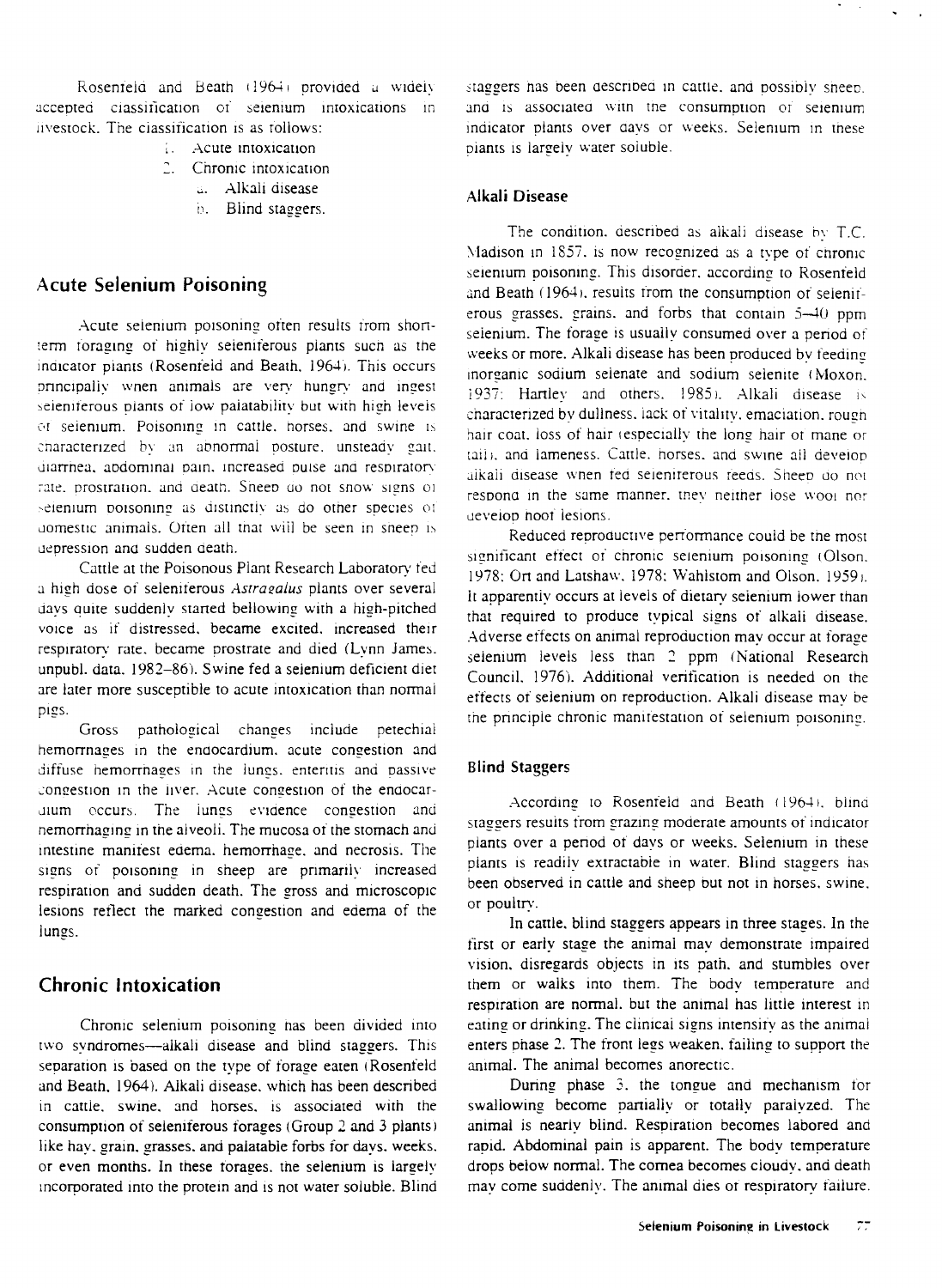Rosenfeld and Beath (1964) provided a widely accepted classification of selenium intoxications in livestock. The classification is as follows:

- Acute intoxication
- 2. Chronic intoxication
	- Alkali disease
	- b. Blind staggers.

### **Acute Selenium Poisoning**

Acute selenium poisoning often results from shortterm foraging of highly seieniferous plants such as the indicator plants (Rosenfeld and Beath, 1964). This occurs principally wnen animals are very hungry and ingest seieniterous plants of low palatability but with high levels of selenium. Poisoning in cattle, horses, and swine is characterized by an abnormal posture. unsteady gait. diarrhea, abdominal pain. increased ouise and respiratory rate. prostration, and death. Sneep do not snow signs of selenium poisoning as distinctly as do other species of domestic animals. Often all that will be seen in sheep is depression and sudden death.

Cattle at the Poisonous Plant Research Laboratory fed a high dose of seleniterous *Astragalus* plants over several days quite suddenly started bellowing with a high-pitched voice as if distressed, became excited. increased their respiratory rate, became prostrate and died (Lynn James, unpubl. data. 1982-86). Swine fed a selenium deficient diet are later more susceptible to acute intoxication than normal pigs.

Gross pathological changes include petechial hemorrnages in the endocardium, acute congestion and diffuse hemorrhages in the lungs, enteritis and passive congestion in the liver. Acute congestion of the endocardium occurs. The lungs evidence congestion and hemorrhaging in the alveoli. The mucosa of the stomach and intestine manifest edema. hemorrha ge, and necrosis. The signs of poisoning in sheep are primarily increased respiration and sudden death. The gross and microscopic lesions reflect the marked congestion and edema of the lungs.

### **Chronic Intoxication**

Chronic selenium poisoning has been divided into two syndromes—alkali disease and blind staggers. This separation is based on the type of forage eaten (Rosenfeld and Beath, 1964). Alkali disease. which has been described in cattle. swine, and horses. is associated with the consumption of seleniferous forages (Group 2 and 3 plants) like hay, grain. grasses. and palatable forbs for days. weeks. or even months. In these torages, the selenium is largely incorporated into the protein and is not water soluble. Blind

staggers has been described in cattle, and possibly sheep. and is associated witn the consumption or selenium indicator plants over days or weeks. Selenium in these biants is largely water soluble.

### **Alkali Disease**

The condition, described as alkali disease by  $T.C.$ Madison in 1857, is now recognized as a type of chronic selenium poisoning. This disorder, according to Rosenfeld and Beath  $(1964)$ , results from the consumption of seleniferous grasses. grains. and forbs that contain 5-40 ppm selenium. The forage is usually consumed over a period of weeks or more. Alkali disease has been produced by feeding inorganic sodium seienate and sodium selenite ( Moxon.  $1937$ : Hartley and others.  $1985$ ). Alkali disease is characterized by dullness, lack of vitality, emaciation, rough hair coat, loss of hair (especially the long hair of mane or tail), and lameness. Cattle, horses, and swine all develop alkali disease wnen fed seleniterous reeds. Sheen do not respond in the same manner, they neither lose wool nor ueveiop hoot lesions.

Reduced reproductive performance could be the most significant effect of chronic selenium poisoning (Olson. 1978: Ort and Latshaw. 1978: Wahistom and Olson. 1959 I. It apparently occurs at levels of dietary selenium lower than that required to produce typical signs of alkali disease. Adverse effects on animal reproduction may occur at forage selenium levels less than 2 ppm (National Research Council. 1976). Additional verification is needed on the effects of selenium on reproduction. Alkali disease may be the principle chronic manifestation of selenium poisoning.

#### **Blind Staggers**

According to Rosenfeld and Beath (1964), blind staggers results from grazing moderate amounts of indicator plants over a period of days or weeks. Selenium in these plants is readily extractable in water. Blind staggers has been observed in cattle and sheep but not in horses. swine. or poultry.

In cattle, blind staggers appears in three stages. In the first or early stage the animal may demonstrate impaired vision, disregards objects in its path. and stumbles over them or walks into them. The body temperature and respiration are normal. but the animal has little interest in eating or drinking. The clinical signs intensity as the animal enters phase 2. The front legs weaken, failing to support the animal. The animal becomes anorectic.

During phase 3, the tongue and mechanism for swallowing become partially or totally paralyzed. The animal is nearly blind. Respiration becomes labored and rapid. Abdominal pain is apparent. The body temperature drops below normal. The cornea becomes cloudy. and death may come suddenly. The animal dies of respiratory failure.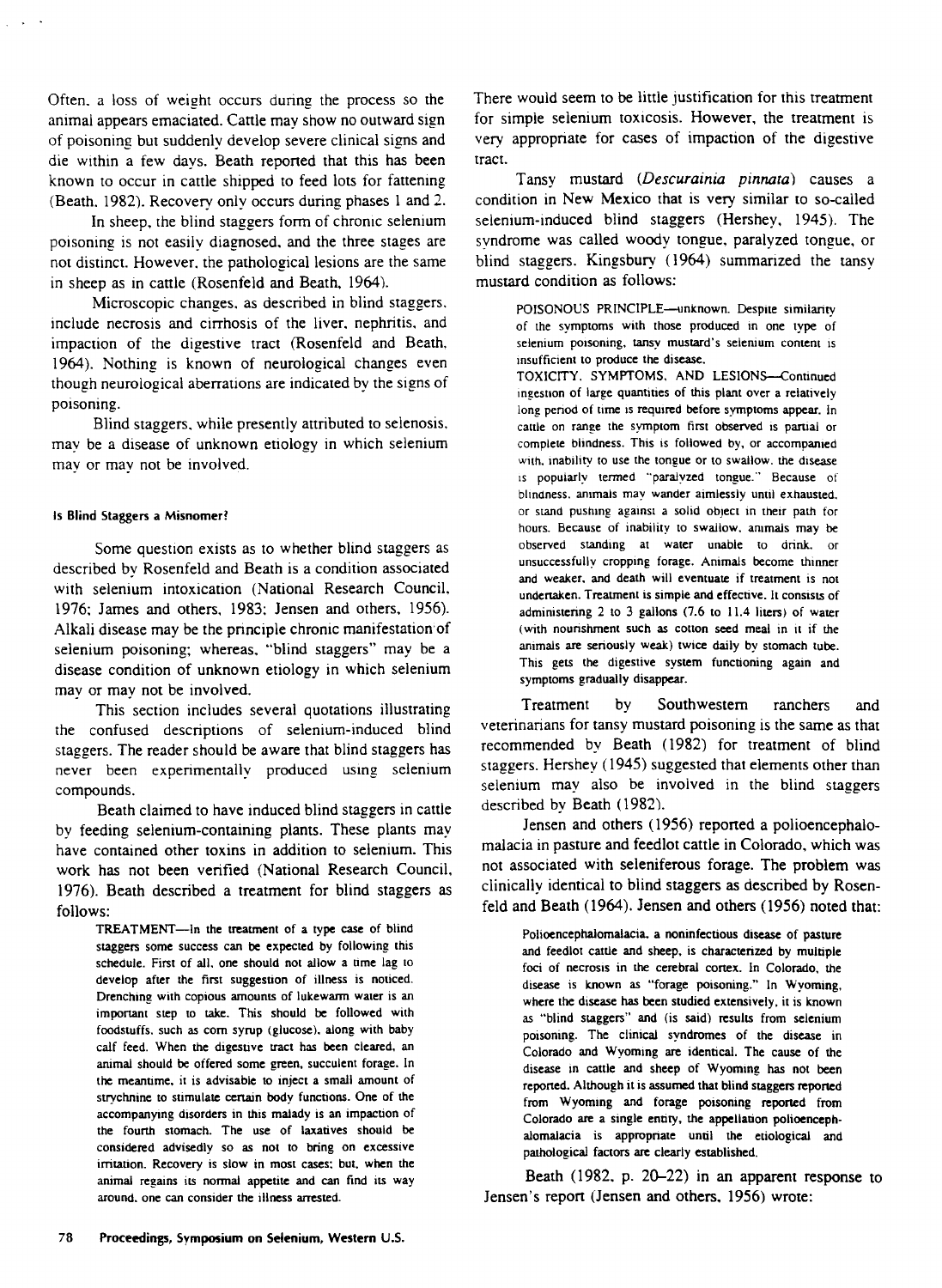Often, a loss of weight occurs during the process so the animal appears emaciated. Cattle may show no outward sign of poisoning but suddenly develop severe clinical signs and die within a few days. Beath reported that this has been known to occur in cattle shipped to feed lots for fattening (Beath. 1982). Recovery only occurs during phases 1 and 2.

In sheep, the blind staggers form of chronic selenium poisoning is not easily diagnosed, and the three stages are not distinct. However, the pathological lesions are the same in sheep as in cattle (Rosenfeld and Beath, 1964).

Microscopic changes, as described in blind staggers. include necrosis and cirrhosis of the liver. nephritis, and impaction of the digestive tract (Rosenfeld and Beath, 1964). Nothing is known of neurological changes even though neurological aberrations are indicated by the signs of poisoning.

Blind staggers, while presently attributed to selenosis, may be a disease of unknown etiology in which selenium may or may not be involved.

#### Is Blind Staggers a Misnomer?

Some question exists as to whether blind staggers as described by Rosenfeld and Beath is a condition associated with selenium intoxication (National Research Council. 1976; James and others, 1983; Jensen and others, 1956). Alkali disease may be the principle chronic manifestation'of selenium poisoning; whereas, "blind staggers" may be a disease condition of unknown etiology in which selenium may or may not be involved.

This section includes several quotations illustrating the confused descriptions of selenium-induced blind staggers. The reader should be aware that blind staggers has never been experimentally produced using selenium compounds.

Beath claimed to have induced blind staggers in cattle by feeding selenium-containing plants. These plants may have contained other toxins in addition to selenium. This work has not been verified (National Research Council, 1976). Beath described a treatment for blind staggers as follows:

TREATMENT—In the treatment of a type case of blind staggers some success can be expected by following this schedule. First of all, one should not allow a time lag to develop after the first suggestion of illness is noticed. Drenching with copious amounts of lukewarm water is an important step to take. This should be followed with foodstuffs, such as corn syrup (glucose). along with baby calf feed. When the digestive tract has been cleared, an animal should be offered some green, succulent forage. In the meantime, it is advisable to inject a small amount of strychnine to stimulate certain body functions. One of the accompanying disorders in this malady is an impaction of the fourth stomach. The use of laxatives should be considered advisedly so as not to bring on excessive irritation. Recovery is slow in most cases: but, when the animal regains its normal appetite and can find its way around. one can consider the illness arrested.

There would seem to be little justification for this treatment for simple selenium toxicosis. However, the treatment is very appropriate for cases of impaction of the digestive tract.

Tansy mustard *(Descurainia pinnara)* causes a condition in New Mexico that is very similar to so-called selenium-induced blind staggers (Hershey, 1945). The svndrome was called woody tongue, paralyzed tongue, or blind staggers. Kingsbury (1964) summarized the tansy mustard condition as follows:

POISONOUS PRINCIPLE—unknown. Despite similarity of the symptoms with those produced in one type of selenium poisoning, tansy mustard's selenium content is insufficient to produce the disease.

TOXICITY. SYMPTOMS, AND LESIONS—Continued ingestion of large quantities of this plant over a relatively long period of time is required before symptoms appear. In cattle on range the symptom first observed is partial or complete blindness. This is followed by, or accompanied with, inability to use the tongue or to swallow. the disease is popularly termed "paralyzed tongue." Because of blindness. animals may wander aimlessly until exhausted. or stand pushing against a solid object in their path for hours. Because of inability to swallow, animals may be observed standing at water unable to drink, or unsuccessfully cropping forage. Animals become thinner and weaker, and death will eventuate if treatment is not undertaken. Treatment is simple and effective. It consists of administering 2 to 3 gallons (7.6 to 11.4 liters) of water (with nourishment such as cotton seed meal in it if the animals are seriously weak) twice daily by stomach tube. This gets the digestive system functioning again and symptoms gradually disappear.

Treatment by Southwestern ranchers and veterinarians for tansy mustard poisoning is the same as that recommended by Beath (1982) for treatment of blind staggers. Hershey (1945) suggested that elements other than selenium may also be involved in the blind staggers described by Beath (1982).

Jensen and others (1956) reported a polioencephalomalacia in pasture and feedlot cattle in Colorado, which was not associated with seleniferous forage. The problem was clinically identical to blind staggers as described by Rosenfeld and Beath (1964). Jensen and others (1956) noted that:

> Polioencephalomalacia. a noninfectious disease of pasture and feedlot cattle and sheep, is characterized by multiple foci of necrosis in the cerebral cortex. In Colorado, the disease is known as "forage poisoning." In Wyoming, where the disease has been studied extensively, it is known as "blind staggers" and (is said) results from selenium poisoning. The clinical syndromes of the disease in Colorado and Wyoming are identical. The cause of the disease in cattle and sheep of Wyoming has not been reported. Although it is assumed that blind staggers reported from Wyoming and forage poisoning reported from Colorado are a single entity, the appellation polioencephalomalacia is appropriate until the etiological and pathological factors are clearly established.

Beath (1982, p. 20-22) in an apparent response to Jensen's report (Jensen and others, 1956) wrote: